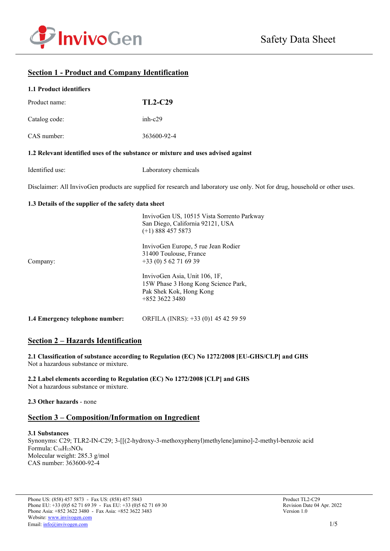



# **Section 1 - Product and Company Identification**

#### **1.1 Product identifiers**

| Product name: | <b>TL2-C29</b> |
|---------------|----------------|
| Catalog code: | $inh-c29$      |
| CAS number:   | 363600-92-4    |

#### **1.2 Relevant identified uses of the substance or mixture and uses advised against**

| Identified use: | Laboratory chemicals |
|-----------------|----------------------|
|-----------------|----------------------|

Disclaimer: All InvivoGen products are supplied for research and laboratory use only. Not for drug, household or other uses.

 $Q = \text{IIG} \cdot 10515 \text{V}$  is  $Q = \text{IIG} \cdot \text{I}$ 

#### **1.3 Details of the supplier of the safety data sheet**

|                                 | Invivouen US, IOSIS Vista Sorrento Parkway<br>San Diego, California 92121, USA<br>$(+1)$ 888 457 5873             |
|---------------------------------|-------------------------------------------------------------------------------------------------------------------|
| Company:                        | InvivoGen Europe, 5 rue Jean Rodier<br>31400 Toulouse, France<br>$+33(0) 562716939$                               |
|                                 | InvivoGen Asia, Unit 106, 1F,<br>15W Phase 3 Hong Kong Science Park,<br>Pak Shek Kok, Hong Kong<br>$+85236223480$ |
| 1.4 Emergency telephone number: | ORFILA (INRS): +33 (0)1 45 42 59 59                                                                               |

## **Section 2 – Hazards Identification**

**2.1 Classification of substance according to Regulation (EC) No 1272/2008 [EU-GHS/CLP] and GHS** Not a hazardous substance or mixture.

**2.2 Label elements according to Regulation (EC) No 1272/2008 [CLP] and GHS** Not a hazardous substance or mixture.

#### **2.3 Other hazards** - none

## **Section 3 – Composition/Information on Ingredient**

#### **3.1 Substances**

Synonyms: C29; TLR2-IN-C29; 3-[[(2-hydroxy-3-methoxyphenyl)methylene]amino]-2-methyl-benzoic acid Formula:  $C_{16}H_{15}NO_4$ Molecular weight: 285.3 g/mol CAS number: 363600-92-4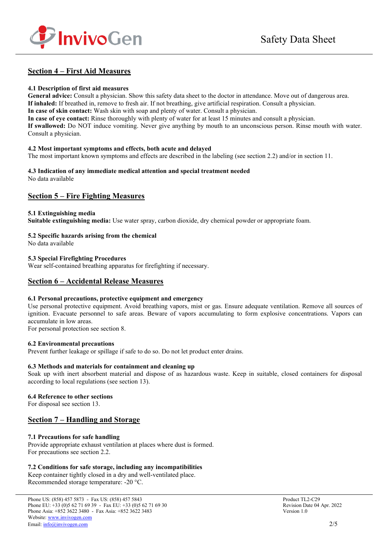

## **Section 4 – First Aid Measures**

#### **4.1 Description of first aid measures**

**General advice:** Consult a physician. Show this safety data sheet to the doctor in attendance. Move out of dangerous area. **If inhaled:** If breathed in, remove to fresh air. If not breathing, give artificial respiration. Consult a physician.

**In case of skin contact:** Wash skin with soap and plenty of water. Consult a physician.

**In case of eye contact:** Rinse thoroughly with plenty of water for at least 15 minutes and consult a physician.

**If swallowed:** Do NOT induce vomiting. Never give anything by mouth to an unconscious person. Rinse mouth with water. Consult a physician.

#### **4.2 Most important symptoms and effects, both acute and delayed**

The most important known symptoms and effects are described in the labeling (see section 2.2) and/or in section 11.

# **4.3 Indication of any immediate medical attention and special treatment needed**

No data available

## **Section 5 – Fire Fighting Measures**

#### **5.1 Extinguishing media**

**Suitable extinguishing media:** Use water spray, carbon dioxide, dry chemical powder or appropriate foam.

### **5.2 Specific hazards arising from the chemical**

No data available

### **5.3 Special Firefighting Procedures**

Wear self-contained breathing apparatus for firefighting if necessary.

## **Section 6 – Accidental Release Measures**

#### **6.1 Personal precautions, protective equipment and emergency**

Use personal protective equipment. Avoid breathing vapors, mist or gas. Ensure adequate ventilation. Remove all sources of ignition. Evacuate personnel to safe areas. Beware of vapors accumulating to form explosive concentrations. Vapors can accumulate in low areas.

For personal protection see section 8.

#### **6.2 Environmental precautions**

Prevent further leakage or spillage if safe to do so. Do not let product enter drains.

#### **6.3 Methods and materials for containment and cleaning up**

Soak up with inert absorbent material and dispose of as hazardous waste. Keep in suitable, closed containers for disposal according to local regulations (see section 13).

#### **6.4 Reference to other sections**

For disposal see section 13.

## **Section 7 – Handling and Storage**

## **7.1 Precautions for safe handling**

Provide appropriate exhaust ventilation at places where dust is formed. For precautions see section 2.2.

#### **7.2 Conditions for safe storage, including any incompatibilities**

Keep container tightly closed in a dry and well-ventilated place. Recommended storage temperature: -20 °C.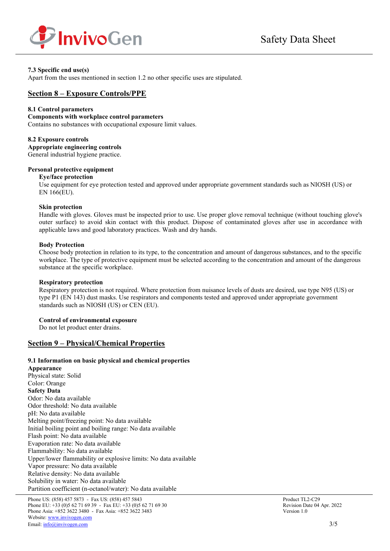

### **7.3 Specific end use(s)**

Apart from the uses mentioned in section 1.2 no other specific uses are stipulated.

## **Section 8 – Exposure Controls/PPE**

#### **8.1 Control parameters**

#### **Components with workplace control parameters**

Contains no substances with occupational exposure limit values.

#### **8.2 Exposure controls**

**Appropriate engineering controls** General industrial hygiene practice.

### **Personal protective equipment**

#### **Eye/face protection**

Use equipment for eye protection tested and approved under appropriate government standards such as NIOSH (US) or EN 166(EU).

#### **Skin protection**

Handle with gloves. Gloves must be inspected prior to use. Use proper glove removal technique (without touching glove's outer surface) to avoid skin contact with this product. Dispose of contaminated gloves after use in accordance with applicable laws and good laboratory practices. Wash and dry hands.

#### **Body Protection**

Choose body protection in relation to its type, to the concentration and amount of dangerous substances, and to the specific workplace. The type of protective equipment must be selected according to the concentration and amount of the dangerous substance at the specific workplace.

#### **Respiratory protection**

Respiratory protection is not required. Where protection from nuisance levels of dusts are desired, use type N95 (US) or type P1 (EN 143) dust masks. Use respirators and components tested and approved under appropriate government standards such as NIOSH (US) or CEN (EU).

#### **Control of environmental exposure**

Do not let product enter drains.

## **Section 9 – Physical/Chemical Properties**

#### **9.1 Information on basic physical and chemical properties**

**Appearance** Physical state: Solid Color: Orange **Safety Data** Odor: No data available Odor threshold: No data available pH: No data available Melting point/freezing point: No data available Initial boiling point and boiling range: No data available Flash point: No data available Evaporation rate: No data available Flammability: No data available Upper/lower flammability or explosive limits: No data available Vapor pressure: No data available Relative density: No data available Solubility in water: No data available Partition coefficient (n-octanol/water): No data available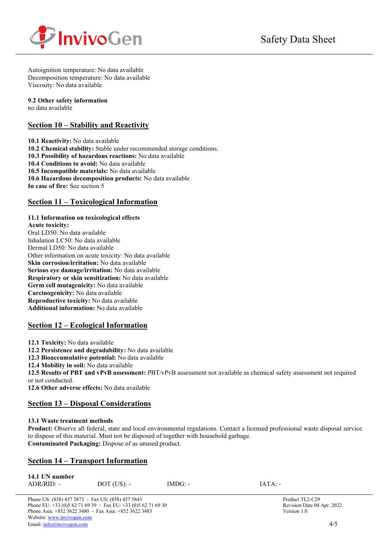

Autoignition temperature: No data available Decomposition temperature: No data available Viscosity: No data available

### **9.2 Other safety information**

no data available

## **Section 10 – Stability and Reactivity**

**10.1 Reactivity:** No data available **10.2 Chemical stability:** Stable under recommended storage conditions. **10.3 Possibility of hazardous reactions:** No data available **10.4 Conditions to avoid:** No data available **10.5 Incompatible materials:** No data available **10.6 Hazardous decomposition products:** No data available **In case of fire:** See section 5

## **Section 11 – Toxicological Information**

## **11.1 Information on toxicological effects**

**Acute toxicity:** Oral LD50: No data available Inhalation LC50: No data available Dermal LD50: No data available Other information on acute toxicity: No data available **Skin corrosion/irritation:** No data available **Serious eye damage/irritation:** No data available **Respiratory or skin sensitization:** No data available **Germ cell mutagenicity:** No data available **Carcinogenicity:** No data available **Reproductive toxicity:** No data available **Additional information:** No data available

# **Section 12 – Ecological Information**

**12.1 Toxicity:** No data available

**12.2 Persistence and degradability:** No data available

**12.3 Bioaccumulative potential:** No data available

**12.4 Mobility in soil:** No data available

**12.5 Results of PBT and vPvB assessment:** PBT/vPvB assessment not available as chemical safety assessment not required or not conducted.

**12.6 Other adverse effects:** No data available

## **Section 13 – Disposal Considerations**

## **13.1 Waste treatment methods**

**Product:** Observe all federal, state and local environmental regulations. Contact a licensed professional waste disposal service to dispose of this material. Must not be disposed of together with household garbage. **Contaminated Packaging:** Dispose of as unused product.

## **Section 14 – Transport Information**

| 14.1 UN number |               |           |           |
|----------------|---------------|-----------|-----------|
| $ADR/RID: -$   | $DOT$ (US): - | $IMDG: -$ | $IATA: -$ |

Phone US: (858) 457 5873 - Fax US: (858) 457 5843<br>
Phone EU: +33 (0)5 62 71 69 39 - Fax EU: +33 (0)5 62 71 69 30<br>
Revision Date 04 Apr. 2022 Phone EU:  $+33(0)562716939$  - Fax EU:  $+33(0)562716930$ Phone Asia: +852 3622 3480 - Fax Asia: +852 3622 3483 Version 1.0 Website[: www.invivogen.com](http://www.invivogen.com/)  Email[: info@invivogen.com](mailto:info@invivogen.com) 4/5